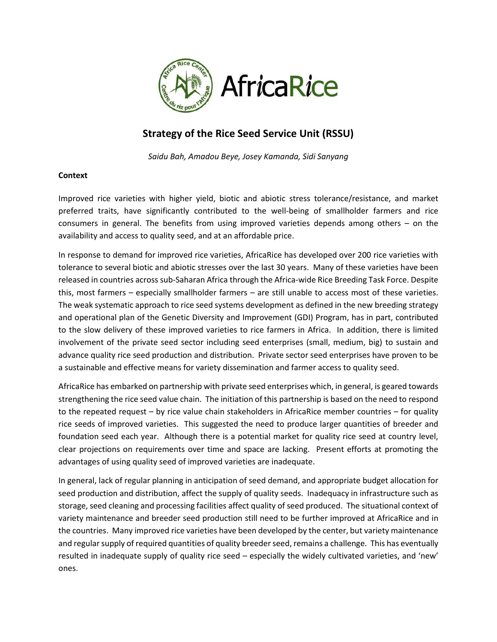

# **Strategy of the Rice Seed Service Unit (RSSU)**

*Saidu Bah, Amadou Beye, Josey Kamanda, Sidi Sanyang*

# **Context**

Improved rice varieties with higher yield, biotic and abiotic stress tolerance/resistance, and market preferred traits, have significantly contributed to the well-being of smallholder farmers and rice consumers in general. The benefits from using improved varieties depends among others – on the availability and access to quality seed, and at an affordable price.

In response to demand for improved rice varieties, AfricaRice has developed over 200 rice varieties with tolerance to several biotic and abiotic stresses over the last 30 years. Many of these varieties have been released in countries across sub-Saharan Africa through the Africa-wide Rice Breeding Task Force. Despite this, most farmers – especially smallholder farmers – are still unable to access most of these varieties. The weak systematic approach to rice seed systems development as defined in the new breeding strategy and operational plan of the Genetic Diversity and Improvement (GDI) Program, has in part, contributed to the slow delivery of these improved varieties to rice farmers in Africa. In addition, there is limited involvement of the private seed sector including seed enterprises (small, medium, big) to sustain and advance quality rice seed production and distribution. Private sector seed enterprises have proven to be a sustainable and effective means for variety dissemination and farmer access to quality seed.

AfricaRice has embarked on partnership with private seed enterprises which, in general, is geared towards strengthening the rice seed value chain. The initiation of this partnership is based on the need to respond to the repeated request – by rice value chain stakeholders in AfricaRice member countries – for quality rice seeds of improved varieties. This suggested the need to produce larger quantities of breeder and foundation seed each year. Although there is a potential market for quality rice seed at country level, clear projections on requirements over time and space are lacking. Present efforts at promoting the advantages of using quality seed of improved varieties are inadequate.

In general, lack of regular planning in anticipation of seed demand, and appropriate budget allocation for seed production and distribution, affect the supply of quality seeds. Inadequacy in infrastructure such as storage, seed cleaning and processing facilities affect quality of seed produced. The situational context of variety maintenance and breeder seed production still need to be further improved at AfricaRice and in the countries. Many improved rice varieties have been developed by the center, but variety maintenance and regular supply of required quantities of quality breeder seed, remains a challenge. This has eventually resulted in inadequate supply of quality rice seed – especially the widely cultivated varieties, and 'new' ones.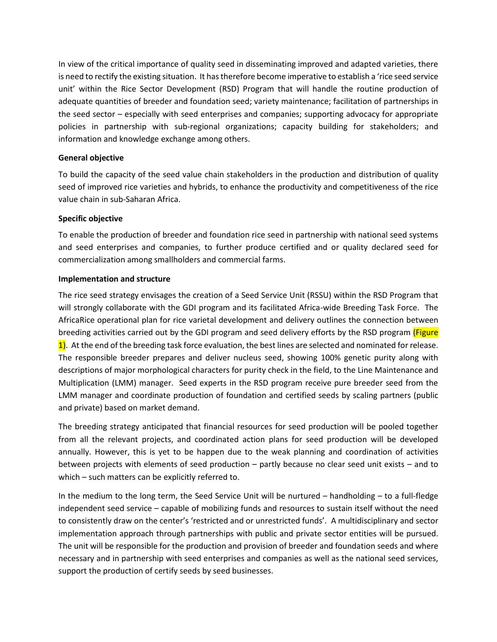In view of the critical importance of quality seed in disseminating improved and adapted varieties, there is need to rectify the existing situation. It has therefore become imperative to establish a 'rice seed service unit' within the Rice Sector Development (RSD) Program that will handle the routine production of adequate quantities of breeder and foundation seed; variety maintenance; facilitation of partnerships in the seed sector – especially with seed enterprises and companies; supporting advocacy for appropriate policies in partnership with sub-regional organizations; capacity building for stakeholders; and information and knowledge exchange among others.

### **General objective**

To build the capacity of the seed value chain stakeholders in the production and distribution of quality seed of improved rice varieties and hybrids, to enhance the productivity and competitiveness of the rice value chain in sub-Saharan Africa.

#### **Specific objective**

To enable the production of breeder and foundation rice seed in partnership with national seed systems and seed enterprises and companies, to further produce certified and or quality declared seed for commercialization among smallholders and commercial farms.

#### **Implementation and structure**

The rice seed strategy envisages the creation of a Seed Service Unit (RSSU) within the RSD Program that will strongly collaborate with the GDI program and its facilitated Africa-wide Breeding Task Force. The AfricaRice operational plan for rice varietal development and delivery outlines the connection between breeding activities carried out by the GDI program and seed delivery efforts by the RSD program (Figure 1). At the end of the breeding task force evaluation, the best lines are selected and nominated for release. The responsible breeder prepares and deliver nucleus seed, showing 100% genetic purity along with descriptions of major morphological characters for purity check in the field, to the Line Maintenance and Multiplication (LMM) manager. Seed experts in the RSD program receive pure breeder seed from the LMM manager and coordinate production of foundation and certified seeds by scaling partners (public and private) based on market demand.

The breeding strategy anticipated that financial resources for seed production will be pooled together from all the relevant projects, and coordinated action plans for seed production will be developed annually. However, this is yet to be happen due to the weak planning and coordination of activities between projects with elements of seed production – partly because no clear seed unit exists – and to which – such matters can be explicitly referred to.

In the medium to the long term, the Seed Service Unit will be nurtured – handholding – to a full-fledge independent seed service – capable of mobilizing funds and resources to sustain itself without the need to consistently draw on the center's 'restricted and or unrestricted funds'. A multidisciplinary and sector implementation approach through partnerships with public and private sector entities will be pursued. The unit will be responsible for the production and provision of breeder and foundation seeds and where necessary and in partnership with seed enterprises and companies as well as the national seed services, support the production of certify seeds by seed businesses.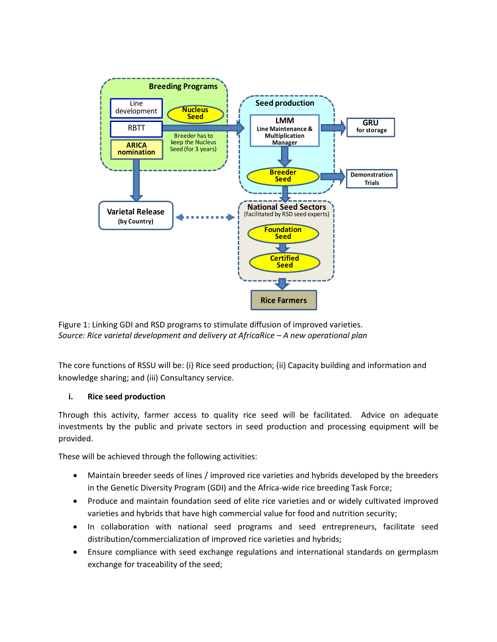

Figure 1: Linking GDI and RSD programs to stimulate diffusion of improved varieties. *Source: Rice varietal development and delivery at AfricaRice – A new operational plan*

The core functions of RSSU will be: (i) Rice seed production; (ii) Capacity building and information and knowledge sharing; and (iii) Consultancy service.

# **i. Rice seed production**

Through this activity, farmer access to quality rice seed will be facilitated. Advice on adequate investments by the public and private sectors in seed production and processing equipment will be provided.

These will be achieved through the following activities:

- Maintain breeder seeds of lines / improved rice varieties and hybrids developed by the breeders in the Genetic Diversity Program (GDI) and the Africa-wide rice breeding Task Force;
- Produce and maintain foundation seed of elite rice varieties and or widely cultivated improved varieties and hybrids that have high commercial value for food and nutrition security;
- In collaboration with national seed programs and seed entrepreneurs, facilitate seed distribution/commercialization of improved rice varieties and hybrids;
- Ensure compliance with seed exchange regulations and international standards on germplasm exchange for traceability of the seed;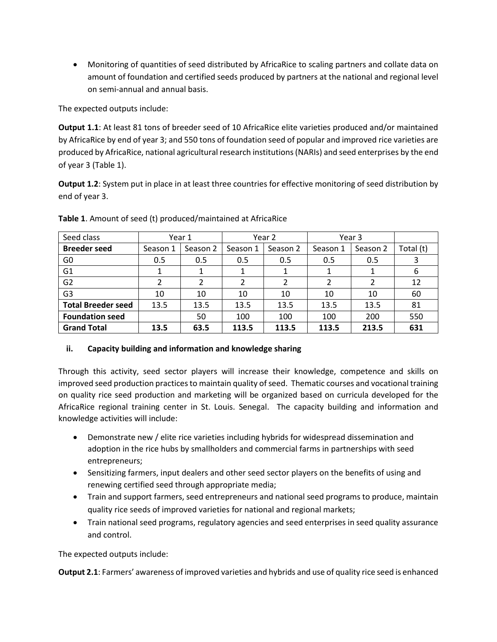• Monitoring of quantities of seed distributed by AfricaRice to scaling partners and collate data on amount of foundation and certified seeds produced by partners at the national and regional level on semi-annual and annual basis.

The expected outputs include:

**Output 1.1**: At least 81 tons of breeder seed of 10 AfricaRice elite varieties produced and/or maintained by AfricaRice by end of year 3; and 550 tons of foundation seed of popular and improved rice varieties are produced by AfricaRice, national agricultural research institutions (NARIs) and seed enterprises by the end of year 3 (Table 1).

**Output 1.2**: System put in place in at least three countries for effective monitoring of seed distribution by end of year 3.

| Seed class                | Year 1   |          |          | Year 2   | Year 3   |          |           |
|---------------------------|----------|----------|----------|----------|----------|----------|-----------|
| <b>Breeder seed</b>       | Season 1 | Season 2 | Season 1 | Season 2 | Season 1 | Season 2 | Total (t) |
| G <sub>0</sub>            | 0.5      | 0.5      | 0.5      | 0.5      | 0.5      | 0.5      | 3         |
| G <sub>1</sub>            |          |          |          |          |          |          | 6         |
| G <sub>2</sub>            |          |          | 2        |          |          | 2        | 12        |
| G <sub>3</sub>            | 10       | 10       | 10       | 10       | 10       | 10       | 60        |
| <b>Total Breeder seed</b> | 13.5     | 13.5     | 13.5     | 13.5     | 13.5     | 13.5     | 81        |
| <b>Foundation seed</b>    |          | 50       | 100      | 100      | 100      | 200      | 550       |
| <b>Grand Total</b>        | 13.5     | 63.5     | 113.5    | 113.5    | 113.5    | 213.5    | 631       |

**Table 1**. Amount of seed (t) produced/maintained at AfricaRice

# **ii. Capacity building and information and knowledge sharing**

Through this activity, seed sector players will increase their knowledge, competence and skills on improved seed production practices to maintain quality of seed. Thematic courses and vocational training on quality rice seed production and marketing will be organized based on curricula developed for the AfricaRice regional training center in St. Louis. Senegal. The capacity building and information and knowledge activities will include:

- Demonstrate new / elite rice varieties including hybrids for widespread dissemination and adoption in the rice hubs by smallholders and commercial farms in partnerships with seed entrepreneurs;
- Sensitizing farmers, input dealers and other seed sector players on the benefits of using and renewing certified seed through appropriate media;
- Train and support farmers, seed entrepreneurs and national seed programs to produce, maintain quality rice seeds of improved varieties for national and regional markets;
- Train national seed programs, regulatory agencies and seed enterprises in seed quality assurance and control.

The expected outputs include:

**Output 2.1**: Farmers' awareness of improved varieties and hybrids and use of quality rice seed is enhanced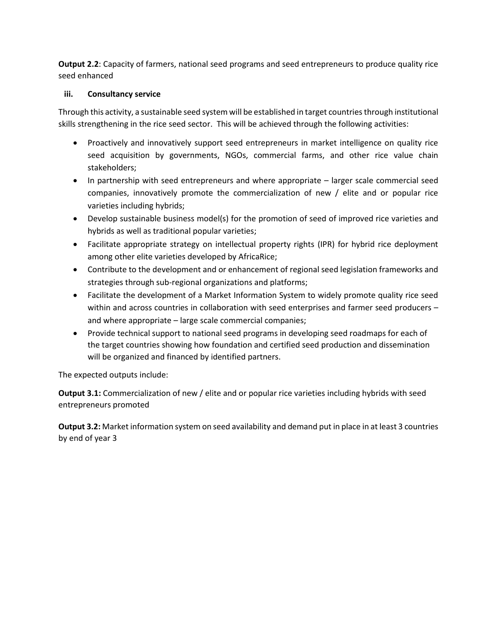**Output 2.2**: Capacity of farmers, national seed programs and seed entrepreneurs to produce quality rice seed enhanced

# **iii. Consultancy service**

Through this activity, a sustainable seed system will be established in target countries through institutional skills strengthening in the rice seed sector. This will be achieved through the following activities:

- Proactively and innovatively support seed entrepreneurs in market intelligence on quality rice seed acquisition by governments, NGOs, commercial farms, and other rice value chain stakeholders;
- In partnership with seed entrepreneurs and where appropriate larger scale commercial seed companies, innovatively promote the commercialization of new / elite and or popular rice varieties including hybrids;
- Develop sustainable business model(s) for the promotion of seed of improved rice varieties and hybrids as well as traditional popular varieties;
- Facilitate appropriate strategy on intellectual property rights (IPR) for hybrid rice deployment among other elite varieties developed by AfricaRice;
- Contribute to the development and or enhancement of regional seed legislation frameworks and strategies through sub-regional organizations and platforms;
- Facilitate the development of a Market Information System to widely promote quality rice seed within and across countries in collaboration with seed enterprises and farmer seed producers – and where appropriate – large scale commercial companies;
- Provide technical support to national seed programs in developing seed roadmaps for each of the target countries showing how foundation and certified seed production and dissemination will be organized and financed by identified partners.

The expected outputs include:

**Output 3.1:** Commercialization of new / elite and or popular rice varieties including hybrids with seed entrepreneurs promoted

**Output 3.2:** Market information system on seed availability and demand put in place in at least 3 countries by end of year 3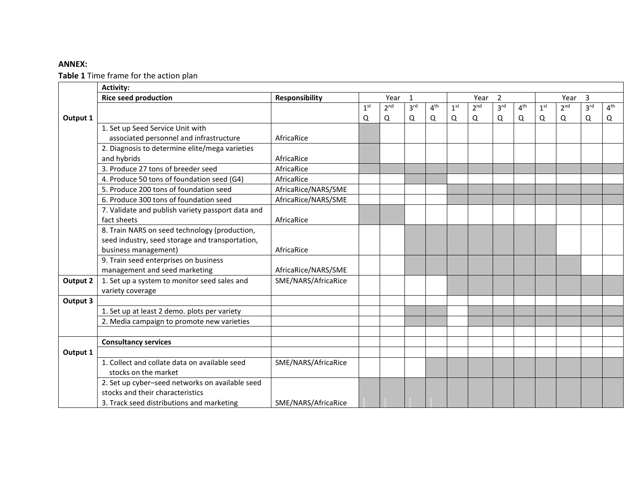# **ANNEX:**

**Table 1** Time frame for the action plan

|                 | <b>Activity:</b>                                  |                       |                        |                 |                 |                 |                 |                 |                      |                 |                 |                 |                 |                 |
|-----------------|---------------------------------------------------|-----------------------|------------------------|-----------------|-----------------|-----------------|-----------------|-----------------|----------------------|-----------------|-----------------|-----------------|-----------------|-----------------|
|                 | <b>Rice seed production</b>                       | <b>Responsibility</b> | $\overline{1}$<br>Year |                 |                 | 2<br>Year       |                 |                 | $\mathbf{3}$<br>Year |                 |                 |                 |                 |                 |
|                 |                                                   |                       | 1 <sup>st</sup>        | 2 <sup>nd</sup> | 3 <sup>rd</sup> | 4 <sup>th</sup> | 1 <sup>st</sup> | 2 <sup>nd</sup> | 3 <sup>rd</sup>      | 4 <sup>th</sup> | 1 <sup>st</sup> | 2 <sup>nd</sup> | 3 <sup>rd</sup> | 4 <sup>th</sup> |
| Output 1        |                                                   |                       | Q                      | $\mathsf Q$     | Q               | Q               | Q               | Q               | Q                    | Q               | $\mathsf Q$     | $\mathsf Q$     | Q               | Q               |
|                 | 1. Set up Seed Service Unit with                  |                       |                        |                 |                 |                 |                 |                 |                      |                 |                 |                 |                 |                 |
|                 | associated personnel and infrastructure           | AfricaRice            |                        |                 |                 |                 |                 |                 |                      |                 |                 |                 |                 |                 |
|                 | 2. Diagnosis to determine elite/mega varieties    |                       |                        |                 |                 |                 |                 |                 |                      |                 |                 |                 |                 |                 |
|                 | and hybrids                                       | AfricaRice            |                        |                 |                 |                 |                 |                 |                      |                 |                 |                 |                 |                 |
|                 | 3. Produce 27 tons of breeder seed                | AfricaRice            |                        |                 |                 |                 |                 |                 |                      |                 |                 |                 |                 |                 |
|                 | 4. Produce 50 tons of foundation seed (G4)        | AfricaRice            |                        |                 |                 |                 |                 |                 |                      |                 |                 |                 |                 |                 |
|                 | 5. Produce 200 tons of foundation seed            | AfricaRice/NARS/SME   |                        |                 |                 |                 |                 |                 |                      |                 |                 |                 |                 |                 |
|                 | 6. Produce 300 tons of foundation seed            | AfricaRice/NARS/SME   |                        |                 |                 |                 |                 |                 |                      |                 |                 |                 |                 |                 |
|                 | 7. Validate and publish variety passport data and |                       |                        |                 |                 |                 |                 |                 |                      |                 |                 |                 |                 |                 |
|                 | fact sheets                                       | AfricaRice            |                        |                 |                 |                 |                 |                 |                      |                 |                 |                 |                 |                 |
|                 | 8. Train NARS on seed technology (production,     |                       |                        |                 |                 |                 |                 |                 |                      |                 |                 |                 |                 |                 |
|                 | seed industry, seed storage and transportation,   |                       |                        |                 |                 |                 |                 |                 |                      |                 |                 |                 |                 |                 |
|                 | business management)                              | AfricaRice            |                        |                 |                 |                 |                 |                 |                      |                 |                 |                 |                 |                 |
|                 | 9. Train seed enterprises on business             |                       |                        |                 |                 |                 |                 |                 |                      |                 |                 |                 |                 |                 |
|                 | management and seed marketing                     | AfricaRice/NARS/SME   |                        |                 |                 |                 |                 |                 |                      |                 |                 |                 |                 |                 |
| <b>Output 2</b> | 1. Set up a system to monitor seed sales and      | SME/NARS/AfricaRice   |                        |                 |                 |                 |                 |                 |                      |                 |                 |                 |                 |                 |
|                 | variety coverage                                  |                       |                        |                 |                 |                 |                 |                 |                      |                 |                 |                 |                 |                 |
| Output 3        |                                                   |                       |                        |                 |                 |                 |                 |                 |                      |                 |                 |                 |                 |                 |
|                 | 1. Set up at least 2 demo. plots per variety      |                       |                        |                 |                 |                 |                 |                 |                      |                 |                 |                 |                 |                 |
|                 | 2. Media campaign to promote new varieties        |                       |                        |                 |                 |                 |                 |                 |                      |                 |                 |                 |                 |                 |
|                 |                                                   |                       |                        |                 |                 |                 |                 |                 |                      |                 |                 |                 |                 |                 |
|                 | <b>Consultancy services</b>                       |                       |                        |                 |                 |                 |                 |                 |                      |                 |                 |                 |                 |                 |
| Output 1        |                                                   |                       |                        |                 |                 |                 |                 |                 |                      |                 |                 |                 |                 |                 |
|                 | 1. Collect and collate data on available seed     | SME/NARS/AfricaRice   |                        |                 |                 |                 |                 |                 |                      |                 |                 |                 |                 |                 |
|                 | stocks on the market                              |                       |                        |                 |                 |                 |                 |                 |                      |                 |                 |                 |                 |                 |
|                 | 2. Set up cyber-seed networks on available seed   |                       |                        |                 |                 |                 |                 |                 |                      |                 |                 |                 |                 |                 |
|                 | stocks and their characteristics                  |                       |                        |                 |                 |                 |                 |                 |                      |                 |                 |                 |                 |                 |
|                 | 3. Track seed distributions and marketing         | SME/NARS/AfricaRice   |                        |                 |                 |                 |                 |                 |                      |                 |                 |                 |                 |                 |